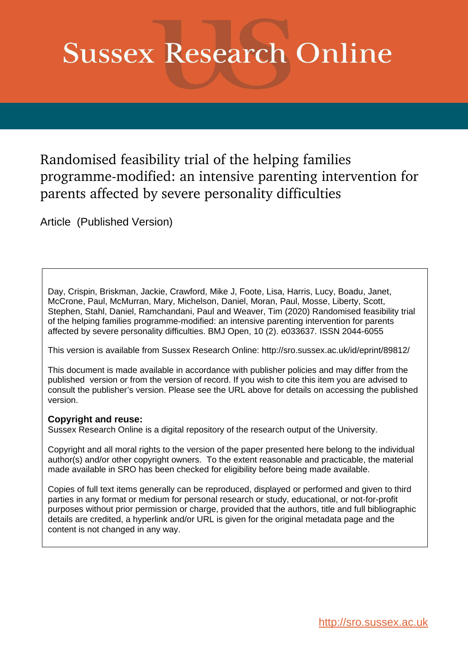# **Sussex Research Online**

Randomised feasibility trial of the helping families programme-modified: an intensive parenting intervention for parents affected by severe personality difficulties

Article (Published Version)

Day, Crispin, Briskman, Jackie, Crawford, Mike J, Foote, Lisa, Harris, Lucy, Boadu, Janet, McCrone, Paul, McMurran, Mary, Michelson, Daniel, Moran, Paul, Mosse, Liberty, Scott, Stephen, Stahl, Daniel, Ramchandani, Paul and Weaver, Tim (2020) Randomised feasibility trial of the helping families programme-modified: an intensive parenting intervention for parents affected by severe personality difficulties. BMJ Open, 10 (2). e033637. ISSN 2044-6055

This version is available from Sussex Research Online: http://sro.sussex.ac.uk/id/eprint/89812/

This document is made available in accordance with publisher policies and may differ from the published version or from the version of record. If you wish to cite this item you are advised to consult the publisher's version. Please see the URL above for details on accessing the published version.

# **Copyright and reuse:**

Sussex Research Online is a digital repository of the research output of the University.

Copyright and all moral rights to the version of the paper presented here belong to the individual author(s) and/or other copyright owners. To the extent reasonable and practicable, the material made available in SRO has been checked for eligibility before being made available.

Copies of full text items generally can be reproduced, displayed or performed and given to third parties in any format or medium for personal research or study, educational, or not-for-profit purposes without prior permission or charge, provided that the authors, title and full bibliographic details are credited, a hyperlink and/or URL is given for the original metadata page and the content is not changed in any way.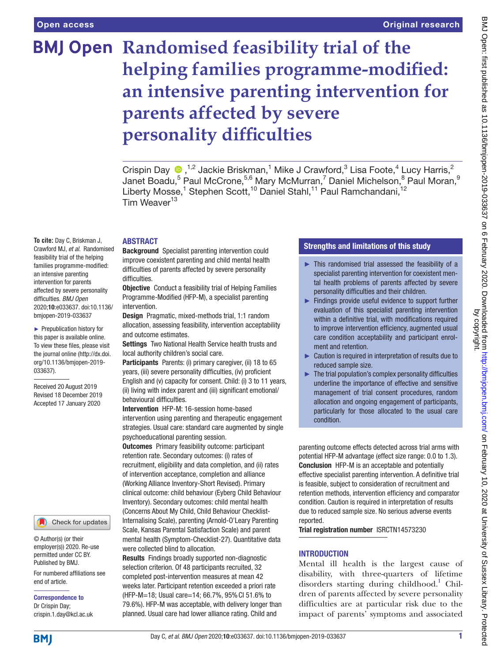# **BMJ Open Randomised feasibility trial of the helping families programme-modified: an intensive parenting intervention for parents affected by severe personality difficulties**

Crispin Day  $\bigcirc$ ,<sup>1,2</sup> Jackie Briskman,<sup>1</sup> Mike J Crawford,<sup>3</sup> Lisa Foote,<sup>4</sup> Lucy Harris,<sup>2</sup> Janet Boadu, $^5$  Paul McCrone, $^{5,6}$  Mary McMurran, $^7$  Daniel Michelson, $^8$  Paul Moran, $^{\rm 9}$ Liberty Mosse,<sup>1</sup> Stephen Scott,<sup>10</sup> Daniel Stahl,<sup>11</sup> Paul Ramchandani,<sup>12</sup> Tim Weaver<sup>13</sup>

#### **ABSTRACT**

**To cite:** Day C, Briskman J, Crawford MJ, *et al*. Randomised feasibility trial of the helping families programme-modified: an intensive parenting intervention for parents affected by severe personality difficulties. *BMJ Open* 2020;10:e033637. doi:10.1136/ bmjopen-2019-033637

► Prepublication history for this paper is available online. To view these files, please visit the journal online (http://dx.doi. org/10.1136/bmjopen-2019- 033637).

Received 20 August 2019 Revised 18 December 2019 Accepted 17 January 2020

### Check for updates

© Author(s) (or their employer(s)) 2020. Re-use permitted under CC BY. Published by BMJ.

For numbered affiliations see end of article.

Correspondence to Dr Crispin Day; crispin.1.day@kcl.ac.uk

#### Background Specialist parenting intervention could improve coexistent parenting and child mental health difficulties of parents affected by severe personality difficulties.

**Objective** Conduct a feasibility trial of Helping Families Programme-Modified (HFP-M), a specialist parenting intervention.

Design Pragmatic, mixed-methods trial, 1:1 random allocation, assessing feasibility, intervention acceptability and outcome estimates.

Settings Two National Health Service health trusts and local authority children's social care.

Participants Parents: (i) primary caregiver, (ii) 18 to 65 years, (iii) severe personality difficulties, (iv) proficient English and (v) capacity for consent. Child: (i) 3 to 11 years, (ii) living with index parent and (iii) significant emotional/ behavioural difficulties.

Intervention HFP-M: 16-session home-based intervention using parenting and therapeutic engagement strategies. Usual care: standard care augmented by single psychoeducational parenting session.

**Outcomes** Primary feasibility outcome: participant retention rate. Secondary outcomes: (i) rates of recruitment, eligibility and data completion, and (ii) rates of intervention acceptance, completion and alliance (Working Alliance Inventory-Short Revised). Primary clinical outcome: child behaviour (Eyberg Child Behaviour Inventory). Secondary outcomes: child mental health (Concerns About My Child, Child Behaviour Checklist-Internalising Scale), parenting (Arnold-O'Leary Parenting Scale, Kansas Parental Satisfaction Scale) and parent mental health (Symptom-Checklist-27). Quantitative data were collected blind to allocation.

Results Findings broadly supported non-diagnostic selection criterion. Of 48 participants recruited, 32 completed post-intervention measures at mean 42 weeks later. Participant retention exceeded a priori rate (HFP-M=18; Usual care=14; 66.7%, 95%CI 51.6% to 79.6%). HFP-M was acceptable, with delivery longer than planned. Usual care had lower alliance rating. Child and

# Strengths and limitations of this study

- ► This randomised trial assessed the feasibility of a specialist parenting intervention for coexistent mental health problems of parents affected by severe personality difficulties and their children.
- ► Findings provide useful evidence to support further evaluation of this specialist parenting intervention within a definitive trial, with modifications required to improve intervention efficiency, augmented usual care condition acceptability and participant enrolment and retention.
- ► Caution is required in interpretation of results due to reduced sample size.
- $\blacktriangleright$  The trial population's complex personality difficulties underline the importance of effective and sensitive management of trial consent procedures, random allocation and ongoing engagement of participants, particularly for those allocated to the usual care condition.

parenting outcome effects detected across trial arms with potential HFP-M advantage (effect size range: 0.0 to 1.3). Conclusion HFP-M is an acceptable and potentially effective specialist parenting intervention. A definitive trial is feasible, subject to consideration of recruitment and retention methods, intervention efficiency and comparator condition. Caution is required in interpretation of results due to reduced sample size. No serious adverse events reported.

Trial registration number <ISRCTN14573230>

# **INTRODUCTION**

Mental ill health is the largest cause of disability, with three-quarters of lifetime disorders starting during childhood.<sup>1</sup> Children of parents affected by severe personality difficulties are at particular risk due to the impact of parents' symptoms and associated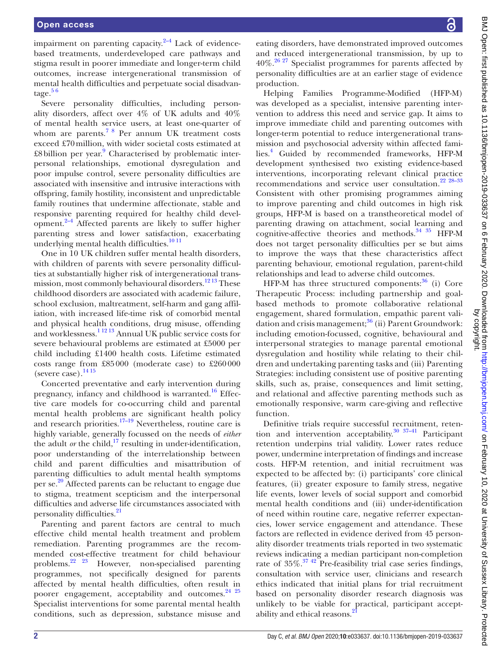impairment on parenting capacity. $2-4$  Lack of evidencebased treatments, underdeveloped care pathways and stigma result in poorer immediate and longer-term child outcomes, increase intergenerational transmission of mental health difficulties and perpetuate social disadvantage.<sup>56</sup>

Severe personality difficulties, including personality disorders, affect over 4% of UK adults and 40% of mental health service users, at least one-quarter of whom are parents.<sup>78</sup> Per annum UK treatment costs exceed £70million, with wider societal costs estimated at £8 billion per year.<sup>[9](#page-11-4)</sup> Characterised by problematic interpersonal relationships, emotional dysregulation and poor impulse control, severe personality difficulties are associated with insensitive and intrusive interactions with offspring, family hostility, inconsistent and unpredictable family routines that undermine affectionate, stable and responsive parenting required for healthy child development. $2-4$  Affected parents are likely to suffer higher parenting stress and lower satisfaction, exacerbating underlying mental health difficulties.<sup>10 11</sup>

One in 10 UK children suffer mental health disorders, with children of parents with severe personality difficulties at substantially higher risk of intergenerational transmission, most commonly behavioural disorders.<sup>1213</sup> These childhood disorders are associated with academic failure, school exclusion, maltreatment, self-harm and gang affiliation, with increased life-time risk of comorbid mental and physical health conditions, drug misuse, offending and worklessness.[1 12 13](#page-11-0) Annual UK public service costs for severe behavioural problems are estimated at £5000 per child including £1400 health costs. Lifetime estimated costs range from £85000 (moderate case) to £260000 (severe case). $^{14\,15}$ 

Concerted preventative and early intervention during pregnancy, infancy and childhood is warranted. $16$  Effective care models for co-occurring child and parental mental health problems are significant health policy and research priorities.<sup>[17–19](#page-11-9)</sup> Nevertheless, routine care is highly variable, generally focussed on the needs of *either* the adult *or* the child, $\frac{17}{17}$  resulting in under-identification, poor understanding of the interrelationship between child and parent difficulties and misattribution of parenting difficulties to adult mental health symptoms per se.<sup>[20](#page-11-10)</sup> Affected parents can be reluctant to engage due to stigma, treatment scepticism and the interpersonal difficulties and adverse life circumstances associated with personality difficulties.<sup>21</sup>

Parenting and parent factors are central to much effective child mental health treatment and problem remediation. Parenting programmes are the recommended cost-effective treatment for child behaviour problems[.22 23](#page-11-12) However, non-specialised parenting programmes, not specifically designed for parents affected by mental health difficulties, often result in poorer engagement, acceptability and outcomes.<sup>[24 25](#page-11-13)</sup> Specialist interventions for some parental mental health conditions, such as depression, substance misuse and

BMJ Open: first published as 10.1136/bmjopen-2019-033637 on 6 February 2020. Downloaded from http://bmjopen.bmj.com/ on February 10, 2020 at University of Sussex Library. Protected<br>by copyright. BMJ Open: first published as 10.1136/bmjopen-2019-033637 on 6 February 2020. Downloaded from <http://bmjopen.bmj.com/> on February 10, 2020 at University of Sussex Library. Protected by copyright.

eating disorders, have demonstrated improved outcomes and reduced intergenerational transmission, by up to  $40\%$ .<sup>[26 27](#page-11-14)</sup> Specialist programmes for parents affected by personality difficulties are at an earlier stage of evidence production.

Helping Families Programme-Modified (HFP-M) was developed as a specialist, intensive parenting intervention to address this need and service gap. It aims to improve immediate child and parenting outcomes with longer-term potential to reduce intergenerational transmission and psychosocial adversity within affected families.[4](#page-11-15) Guided by recommended frameworks, HFP-M development synthesised two existing evidence-based interventions, incorporating relevant clinical practice recommendations and service user consultation.[22 28–33](#page-11-12) Consistent with other promising programmes aiming to improve parenting and child outcomes in high risk groups, HFP-M is based on a transtheoretical model of parenting drawing on attachment, social learning and cognitive-affective theories and methods. $34 \frac{35}{15}$  HFP-M does not target personality difficulties per se but aims to improve the ways that these characteristics affect parenting behaviour, emotional regulation, parent-child relationships and lead to adverse child outcomes.

HFP-M has three structured components: $36$  (i) Core Therapeutic Process: including partnership and goalbased methods to promote collaborative relational engagement, shared formulation, empathic parent validation and crisis management; $36$  (ii) Parent Groundwork: including emotion-focussed, cognitive, behavioural and interpersonal strategies to manage parental emotional dysregulation and hostility while relating to their children and undertaking parenting tasks and (iii) Parenting Strategies: including consistent use of positive parenting skills, such as, praise, consequences and limit setting, and relational and affective parenting methods such as emotionally responsive, warm care-giving and reflective function.

Definitive trials require successful recruitment, retention and intervention acceptability. $30 \frac{37-41}{2}$  Participant retention underpins trial validity. Lower rates reduce power, undermine interpretation of findings and increase costs. HFP-M retention, and initial recruitment was expected to be affected by: (i) participants' core clinical features, (ii) greater exposure to family stress, negative life events, lower levels of social support and comorbid mental health conditions and (iii) under-identification of need within routine care, negative referrer expectancies, lower service engagement and attendance. These factors are reflected in evidence derived from 45 personality disorder treatments trials reported in two systematic reviews indicating a median participant non-completion rate of  $35\%$ .<sup>37</sup> <sup>42</sup> Pre-feasibility trial case series findings, consultation with service user, clinicians and research ethics indicated that initial plans for trial recruitment based on personality disorder research diagnosis was unlikely to be viable for practical, participant accept-ability and ethical reasons.<sup>[21](#page-11-11)</sup>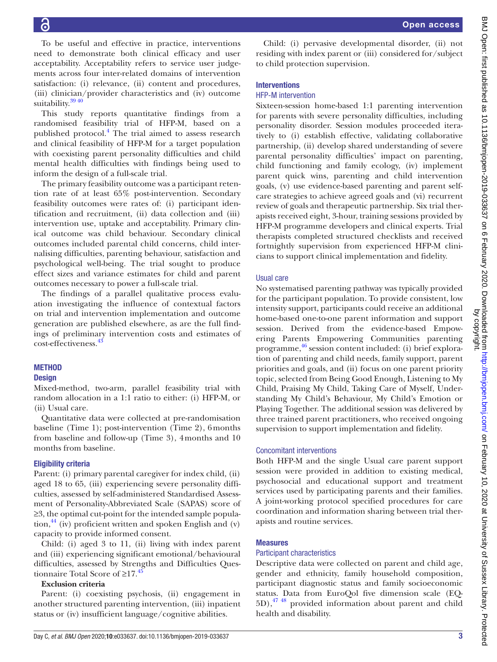To be useful and effective in practice, interventions need to demonstrate both clinical efficacy and user acceptability. Acceptability refers to service user judgements across four inter-related domains of intervention satisfaction: (i) relevance, (ii) content and procedures, (iii) clinician/provider characteristics and (iv) outcome suitability.<sup>39 40</sup>

This study reports quantitative findings from a randomised feasibility trial of HFP-M, based on a published protocol.<sup>[4](#page-11-15)</sup> The trial aimed to assess research and clinical feasibility of HFP-M for a target population with coexisting parent personality difficulties and child mental health difficulties with findings being used to inform the design of a full-scale trial.

The primary feasibility outcome was a participant retention rate of at least 65% post-intervention. Secondary feasibility outcomes were rates of: (i) participant identification and recruitment, (ii) data collection and (iii) intervention use, uptake and acceptability. Primary clinical outcome was child behaviour. Secondary clinical outcomes included parental child concerns, child internalising difficulties, parenting behaviour, satisfaction and psychological well-being. The trial sought to produce effect sizes and variance estimates for child and parent outcomes necessary to power a full-scale trial.

The findings of a parallel qualitative process evaluation investigating the influence of contextual factors on trial and intervention implementation and outcome generation are published elsewhere, as are the full findings of preliminary intervention costs and estimates of cost-effectiveness.<sup>[43](#page-12-3)</sup>

#### **METHOD**

#### **Design**

Mixed-method, two-arm, parallel feasibility trial with random allocation in a 1:1 ratio to either: (i) HFP-M, or (ii) Usual care.

Quantitative data were collected at pre-randomisation baseline (Time 1); post-intervention (Time 2), 6months from baseline and follow-up (Time 3), 4months and 10 months from baseline.

#### Eligibility criteria

Parent: (i) primary parental caregiver for index child, (ii) aged 18 to 65, (iii) experiencing severe personality difficulties, assessed by self-administered Standardised Assessment of Personality-Abbreviated Scale (SAPAS) score of ≥3, the optimal cut-point for the intended sample popula- $\chi$  tion,<sup>44</sup> (iv) proficient written and spoken English and (v) capacity to provide informed consent.

Child: (i) aged 3 to 11, (ii) living with index parent and (iii) experiencing significant emotional/behavioural difficulties, assessed by Strengths and Difficulties Questionnaire Total Score of  $\geq$ 17.<sup>4</sup>

# **Exclusion criteria**

Parent: (i) coexisting psychosis, (ii) engagement in another structured parenting intervention, (iii) inpatient status or (iv) insufficient language/cognitive abilities.

Child: (i) pervasive developmental disorder, (ii) not residing with index parent or (iii) considered for/subject to child protection supervision.

#### Interventions

#### HFP-M intervention

Sixteen-session home-based 1:1 parenting intervention for parents with severe personality difficulties, including personality disorder. Session modules proceeded iteratively to (i) establish effective, validating collaborative partnership, (ii) develop shared understanding of severe parental personality difficulties' impact on parenting, child functioning and family ecology, (iv) implement parent quick wins, parenting and child intervention goals, (v) use evidence-based parenting and parent selfcare strategies to achieve agreed goals and (vi) recurrent review of goals and therapeutic partnership. Six trial therapists received eight, 3-hour, training sessions provided by HFP-M programme developers and clinical experts. Trial therapists completed structured checklists and received fortnightly supervision from experienced HFP-M clinicians to support clinical implementation and fidelity.

#### Usual care

No systematised parenting pathway was typically provided for the participant population. To provide consistent, low intensity support, participants could receive an additional home-based one-to-one parent information and support session. Derived from the evidence-based Empowering Parents Empowering Communities parenting programme, [46](#page-12-6) session content included: (i) brief exploration of parenting and child needs, family support, parent priorities and goals, and (ii) focus on one parent priority topic, selected from Being Good Enough, Listening to My Child, Praising My Child, Taking Care of Myself, Understanding My Child's Behaviour, My Child's Emotion or Playing Together. The additional session was delivered by three trained parent practitioners, who received ongoing supervision to support implementation and fidelity.

#### Concomitant interventions

Both HFP-M and the single Usual care parent support session were provided in addition to existing medical, psychosocial and educational support and treatment services used by participating parents and their families. A joint-working protocol specified procedures for care coordination and information sharing between trial therapists and routine services.

#### **Measures**

#### Participant characteristics

Descriptive data were collected on parent and child age, gender and ethnicity, family household composition, participant diagnostic status and family socioeconomic status. Data from EuroQol five dimension scale (EQ-5D)[,47 48](#page-12-7) provided information about parent and child health and disability.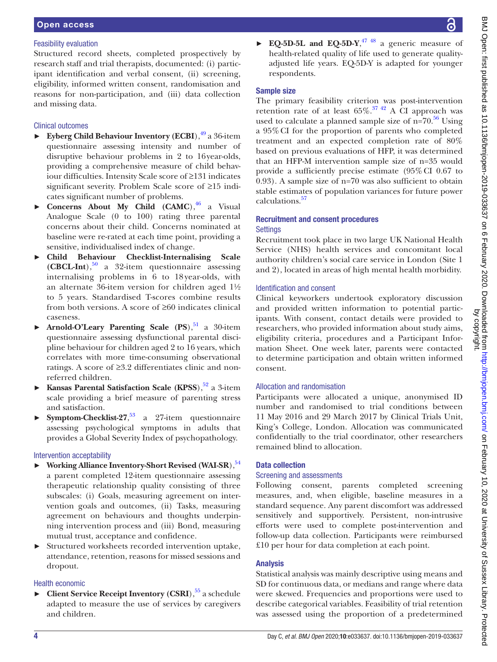### Feasibility evaluation

Structured record sheets, completed prospectively by research staff and trial therapists, documented: (i) participant identification and verbal consent, (ii) screening, eligibility, informed written consent, randomisation and reasons for non-participation, and (iii) data collection and missing data.

# Clinical outcomes

- ► **Eyberg Child Behaviour Inventory (ECBI)**,<sup>49</sup> a 36-item questionnaire assessing intensity and number of disruptive behaviour problems in 2 to 16year-olds, providing a comprehensive measure of child behaviour difficulties. Intensity Scale score of ≥131 indicates significant severity. Problem Scale score of ≥15 indicates significant number of problems.
- **Concerns About My Child (CAMC)**,<sup>[46](#page-12-6)</sup> a Visual Analogue Scale (0 to 100) rating three parental concerns about their child. Concerns nominated at baseline were re-rated at each time point, providing a sensitive, individualised index of change.
- ► **Child Behaviour Checklist-Internalising Scale**   $(CBCL-Int),$ <sup>[50](#page-12-9)</sup> a 32-item questionnaire assessing internalising problems in 6 to 18 year-olds, with an alternate 36-item version for children aged 1½ to 5 years. Standardised T-scores combine results from both versions. A score of ≥60 indicates clinical caseness.
- Arnold-O'Leary Parenting Scale (PS),<sup>51</sup> a 30-item questionnaire assessing dysfunctional parental discipline behaviour for children aged 2 to 16 years, which correlates with more time-consuming observational ratings. A score of ≥3.2 differentiates clinic and nonreferred children.
- **Kansas Parental Satisfaction Scale (KPSS)**,<sup>52</sup> a 3-item scale providing a brief measure of parenting stress and satisfaction.
- ► **Symptom-Checklist-27**, [53](#page-12-12) a 27-item questionnaire assessing psychological symptoms in adults that provides a Global Severity Index of psychopathology.

# Intervention acceptability

- **Working Alliance Inventory-Short Revised (WAI-SR)**,<sup>54</sup> a parent completed 12-item questionnaire assessing therapeutic relationship quality consisting of three subscales: (i) Goals, measuring agreement on intervention goals and outcomes, (ii) Tasks, measuring agreement on behaviours and thoughts underpinning intervention process and (iii) Bond, measuring mutual trust, acceptance and confidence.
- ► Structured worksheets recorded intervention uptake, attendance, retention, reasons for missed sessions and dropout.

#### Health economic

► **Client Service Receipt Inventory (CSRI**),<sup>55</sup> a schedule adapted to measure the use of services by caregivers and children.

#### Sample size

The primary feasibility criterion was post-intervention retention rate of at least  $65\%$ .<sup>37 42</sup> A CI approach was used to calculate a planned sample size of  $n=70.56$  $n=70.56$  Using a 95%CI for the proportion of parents who completed treatment and an expected completion rate of 80% based on previous evaluations of HFP, it was determined that an HFP-M intervention sample size of n=35 would provide a sufficiently precise estimate (95%CI 0.67 to 0.93). A sample size of n=70 was also sufficient to obtain stable estimates of population variances for future power calculations.[57](#page-12-16)

#### Recruitment and consent procedures **Settings**

Recruitment took place in two large UK National Health Service (NHS) health services and concomitant local authority children's social care service in London (Site 1 and 2), located in areas of high mental health morbidity.

# Identification and consent

Clinical keyworkers undertook exploratory discussion and provided written information to potential participants. With consent, contact details were provided to researchers, who provided information about study aims, eligibility criteria, procedures and a Participant Information Sheet. One week later, parents were contacted to determine participation and obtain written informed consent.

# Allocation and randomisation

Participants were allocated a unique, anonymised ID number and randomised to trial conditions between 11 May 2016 and 29 March 2017 by Clinical Trials Unit, King's College, London. Allocation was communicated confidentially to the trial coordinator, other researchers remained blind to allocation.

# Data collection

# Screening and assessments

Following consent, parents completed screening measures, and, when eligible, baseline measures in a standard sequence. Any parent discomfort was addressed sensitively and supportively. Persistent, non-intrusive efforts were used to complete post-intervention and follow-up data collection. Participants were reimbursed £10 per hour for data completion at each point.

# Analysis

Statistical analysis was mainly descriptive using means and SD for continuous data, or medians and range where data were skewed. Frequencies and proportions were used to describe categorical variables. Feasibility of trial retention was assessed using the proportion of a predetermined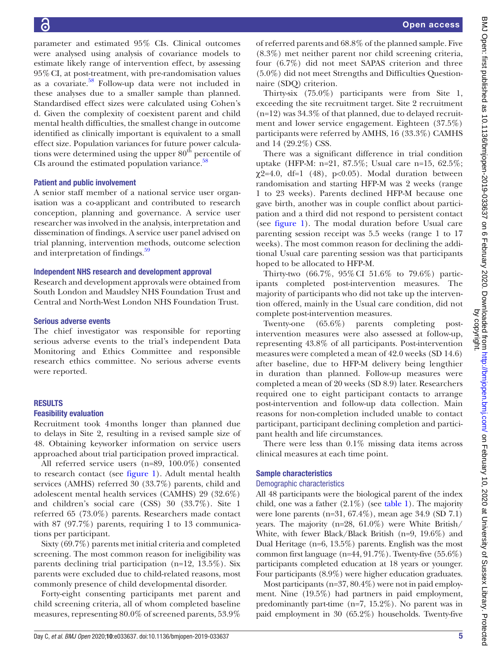16

parameter and estimated 95% CIs. Clinical outcomes were analysed using analysis of covariance models to estimate likely range of intervention effect, by assessing 95%CI, at post-treatment, with pre-randomisation values as a covariate.<sup>58</sup> Follow-up data were not included in these analyses due to a smaller sample than planned. Standardised effect sizes were calculated using Cohen's d. Given the complexity of coexistent parent and child mental health difficulties, the smallest change in outcome identified as clinically important is equivalent to a small effect size. Population variances for future power calculations were determined using the upper  $80<sup>th</sup>$  percentile of CIs around the estimated population variance. $58$ 

#### Patient and public involvement

A senior staff member of a national service user organisation was a co-applicant and contributed to research conception, planning and governance. A service user researcher was involved in the analysis, interpretation and dissemination of findings. A service user panel advised on trial planning, intervention methods, outcome selection and interpretation of findings.<sup>59</sup>

#### Independent NHS research and development approval

Research and development approvals were obtained from South London and Maudsley NHS Foundation Trust and Central and North-West London NHS Foundation Trust.

#### Serious adverse events

The chief investigator was responsible for reporting serious adverse events to the trial's independent Data Monitoring and Ethics Committee and responsible research ethics committee. No serious adverse events were reported.

#### **RESULTS**

#### Feasibility evaluation

Recruitment took 4months longer than planned due to delays in Site 2, resulting in a revised sample size of 48. Obtaining keyworker information on service users approached about trial participation proved impractical.

All referred service users (n=89, 100.0%) consented to research contact (see [figure](#page-6-0) 1). Adult mental health services (AMHS) referred 30 (33.7%) parents, child and adolescent mental health services (CAMHS) 29 (32.6%) and children's social care (CSS) 30 (33.7%). Site 1 referred 65 (73.0%) parents. Researchers made contact with 87 (97.7%) parents, requiring 1 to 13 communications per participant.

Sixty (69.7%) parents met initial criteria and completed screening. The most common reason for ineligibility was parents declining trial participation (n=12, 13.5%). Six parents were excluded due to child-related reasons, most commonly presence of child developmental disorder.

Forty-eight consenting participants met parent and child screening criteria, all of whom completed baseline measures, representing 80.0% of screened parents, 53.9%

of referred parents and 68.8% of the planned sample. Five (8.3%) met neither parent nor child screening criteria, four (6.7%) did not meet SAPAS criterion and three (5.0%) did not meet Strengths and Difficulties Questionnaire (SDQ) criterion.

Thirty-six (75.0%) participants were from Site 1, exceeding the site recruitment target. Site 2 recruitment  $(n=12)$  was  $34.3\%$  of that planned, due to delayed recruitment and lower service engagement. Eighteen (37.5%) participants were referred by AMHS, 16 (33.3%) CAMHS and 14 (29.2%) CSS.

There was a significant difference in trial condition uptake (HFP-M: n=21, 87.5%; Usual care n=15, 62.5%;  $\chi$ 2=4.0, df=1 (48), p<0.05). Modal duration between randomisation and starting HFP-M was 2 weeks (range 1 to 23 weeks). Parents declined HFP-M because one gave birth, another was in couple conflict about participation and a third did not respond to persistent contact (see [figure](#page-6-0) 1). The modal duration before Usual care parenting session receipt was 5.5 weeks (range 1 to 17 weeks). The most common reason for declining the additional Usual care parenting session was that participants hoped to be allocated to HFP-M.

Thirty-two (66.7%, 95%CI 51.6% to 79.6%) participants completed post-intervention measures. The majority of participants who did not take up the intervention offered, mainly in the Usual care condition, did not complete post-intervention measures.

Twenty-one (65.6%) parents completing postintervention measures were also assessed at follow-up, representing 43.8% of all participants. Post-intervention measures were completed a mean of 42.0 weeks (SD 14.6) after baseline, due to HFP-M delivery being lengthier in duration than planned. Follow-up measures were completed a mean of 20 weeks (SD 8.9) later. Researchers required one to eight participant contacts to arrange post-intervention and follow-up data collection. Main reasons for non-completion included unable to contact participant, participant declining completion and participant health and life circumstances.

There were less than  $0.1\%$  missing data items across clinical measures at each time point.

#### Sample characteristics

#### Demographic characteristics

All 48 participants were the biological parent of the index child, one was a father  $(2.1\%)$  (see [table](#page-7-0) 1). The majority were lone parents (n=31, 67.4%), mean age 34.9 (SD 7.1) years. The majority (n=28, 61.0%) were White British/ White, with fewer Black/Black British (n=9, 19.6%) and Dual Heritage (n=6, 13.5%) parents. English was the most common first language  $(n=44, 91.7\%)$ . Twenty-five  $(55.6\%)$ participants completed education at 18 years or younger. Four participants (8.9%) were higher education graduates.

Most participants (n=37, 80.4%) were not in paid employment. Nine (19.5%) had partners in paid employment, predominantly part-time (n=7, 15.2%). No parent was in paid employment in 30 (65.2%) households. Twenty-five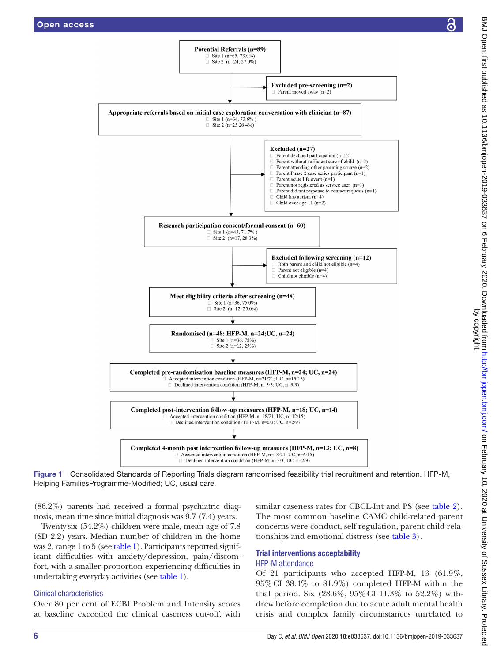

Figure 1 Consolidated Standards of Reporting Trials diagram randomised feasibility trial recruitment and retention. HFP-M, Helping FamiliesProgramme-Modified; UC, usual care.

(86.2%) parents had received a formal psychiatric diagnosis, mean time since initial diagnosis was 9.7 (7.4) years.

Twenty-six (54.2%) children were male, mean age of 7.8 (SD 2.2) years. Median number of children in the home was 2, range 1 to 5 (see [table](#page-7-0) 1). Participants reported significant difficulties with anxiety/depression, pain/discomfort, with a smaller proportion experiencing difficulties in undertaking everyday activities (see [table](#page-7-0) 1).

# Clinical characteristics

Over 80 per cent of ECBI Problem and Intensity scores at baseline exceeded the clinical caseness cut-off, with

<span id="page-6-0"></span>similar caseness rates for CBCL-Int and PS (see [table](#page-7-1) 2). The most common baseline CAMC child-related parent concerns were conduct, self-regulation, parent-child relationships and emotional distress (see [table](#page-8-0) 3).

# Trial interventions acceptability

# HFP-M attendance

Of 21 participants who accepted HFP-M, 13 (61.9%, 95%CI 38.4% to 81.9%) completed HFP-M within the trial period. Six (28.6%, 95%CI 11.3% to 52.2%) withdrew before completion due to acute adult mental health crisis and complex family circumstances unrelated to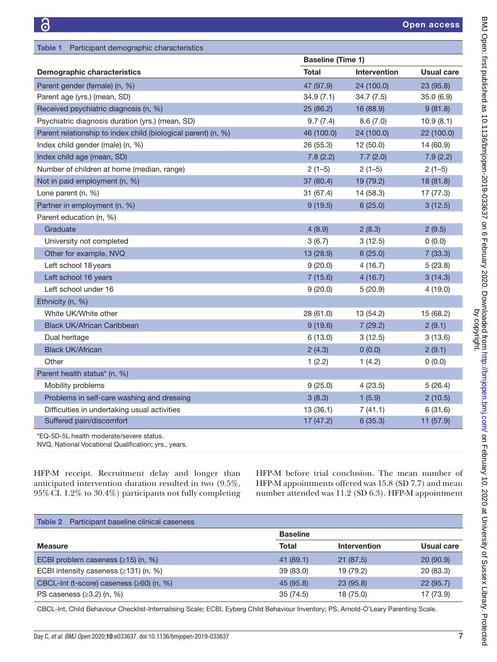<span id="page-7-0"></span>

| Table 1<br>Participant demographic characteristics            |                          |              |                   |
|---------------------------------------------------------------|--------------------------|--------------|-------------------|
|                                                               | <b>Baseline (Time 1)</b> |              |                   |
| <b>Demographic characteristics</b>                            | <b>Total</b>             | Intervention | <b>Usual care</b> |
| Parent gender (female) (n, %)                                 | 47 (97.9)                | 24 (100.0)   | 23 (95.8)         |
| Parent age (yrs.) (mean, SD)                                  | 34.9(7.1)                | 34.7(7.5)    | 35.0(6.9)         |
| Received psychiatric diagnosis (n, %)                         | 25(86.2)                 | 16 (88.9)    | 9(81.8)           |
| Psychiatric diagnosis duration (yrs.) (mean, SD)              | 9.7(7.4)                 | 8.6(7.0)     | 10.9(8.1)         |
| Parent relationship to index child (biological parent) (n, %) | 46 (100.0)               | 24 (100.0)   | 22 (100.0)        |
| Index child gender (male) (n, %)                              | 26 (55.3)                | 12(50.0)     | 14 (60.9)         |
| Index child age (mean, SD)                                    | 7.8(2.2)                 | 7.7(2.0)     | 7.9(2.2)          |
| Number of children at home (median, range)                    | $2(1-5)$                 | $2(1-5)$     | $2(1-5)$          |
| Not in paid employment (n, %)                                 | 37 (80.4)                | 19 (79.2)    | 18 (81.8)         |
| Lone parent (n, %)                                            | 31(67.4)                 | 14 (58.3)    | 17 (77.3)         |
| Partner in employment (n, %)                                  | 9(19.5)                  | 6(25.0)      | 3(12.5)           |
| Parent education (n, %)                                       |                          |              |                   |
| Graduate                                                      | 4(8.9)                   | 2(8.3)       | 2(9.5)            |
| University not completed                                      | 3(6.7)                   | 3(12.5)      | 0(0.0)            |
| Other for example, NVQ                                        | 13 (28.9)                | 6(25.0)      | 7(33.3)           |
| Left school 18 years                                          | 9(20.0)                  | 4(16.7)      | 5(23.8)           |
| Left school 16 years                                          | 7(15.6)                  | 4(16.7)      | 3(14.3)           |
| Left school under 16                                          | 9(20.0)                  | 5(20.9)      | 4(19.0)           |
| Ethnicity (n, %)                                              |                          |              |                   |
| White UK/White other                                          | 28 (61.0)                | 13 (54.2)    | 15 (68.2)         |
| <b>Black UK/African Caribbean</b>                             | 9(19.6)                  | 7(29.2)      | 2(9.1)            |
| Dual heritage                                                 | 6(13.0)                  | 3(12.5)      | 3(13.6)           |
| <b>Black UK/African</b>                                       | 2(4.3)                   | 0(0.0)       | 2(9.1)            |
| Other                                                         | 1(2.2)                   | 1(4.2)       | 0(0.0)            |
| Parent health status* (n, %)                                  |                          |              |                   |
| Mobility problems                                             | 9(25.0)                  | 4(23.5)      | 5(26.4)           |
| Problems in self-care washing and dressing                    | 3(8.3)                   | 1(5.9)       | 2(10.5)           |
| Difficulties in undertaking usual activities                  | 13(36.1)                 | 7(41.1)      | 6(31.6)           |
| Suffered pain/discomfort                                      | 17(47.2)                 | 6(35.3)      | 11 (57.9)         |
|                                                               |                          |              |                   |

\*EQ-5D-5L health moderate/severe status.

NVQ, National Vocational Qualification; yrs., years.

HFP-M receipt. Recruitment delay and longer than anticipated intervention duration resulted in two (9.5%, 95%CI. 1.2% to 30.4%) participants not fully completing HFP-M before trial conclusion. The mean number of HFP-M appointments offered was 15.8 (SD 7.7) and mean number attended was 11.2 (SD 6.3). HFP-M appointment

<span id="page-7-1"></span>

| <b>Baseline</b> |              |            |
|-----------------|--------------|------------|
| <b>Total</b>    | Intervention | Usual care |
| 41(89.1)        | 21(87.5)     | 20(90.9)   |
| 39 (83.0)       | 19 (79.2)    | 20 (83.3)  |
| 45 (95.8)       | 23(95.8)     | 22(95.7)   |
| 35(74.5)        | 18 (75.0)    | 17 (73.9)  |
|                 |              |            |

CBCL-Int, Child Behaviour Checklist-Internalising Scale; ECBI, Eyberg Child Behaviour Inventory; PS, Arnold-O'Leary Parenting Scale.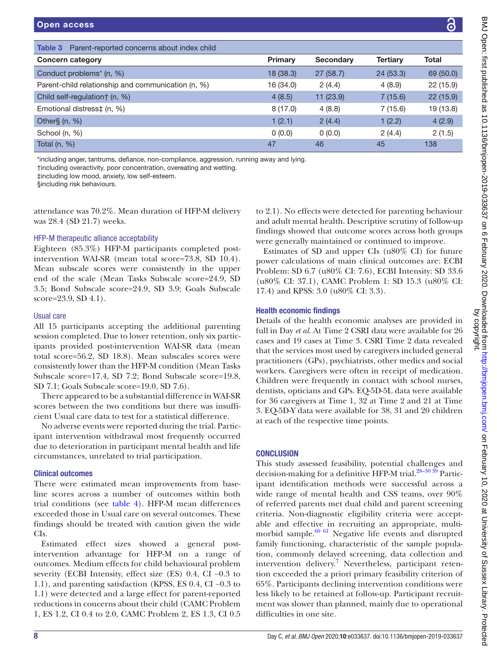<span id="page-8-0"></span>

| Parent-reported concerns about index child<br>Table 3 |           |                  |                 |           |
|-------------------------------------------------------|-----------|------------------|-----------------|-----------|
| <b>Concern category</b>                               | Primary   | <b>Secondary</b> | <b>Tertiary</b> | Total     |
| Conduct problems <sup>*</sup> (n, %)                  | 18 (38.3) | 27(58.7)         | 24(53.3)        | 69 (50.0) |
| Parent-child relationship and communication (n, %)    | 16 (34.0) | 2(4.4)           | 4(8.9)          | 22 (15.9) |
| Child self-regulation† (n, %)                         | 4(8.5)    | 11(23.9)         | 7(15.6)         | 22(15.9)  |
| Emotional distress‡ (n, %)                            | 8(17.0)   | 4(8.8)           | 7(15.6)         | 19 (13.8) |
| Other $\S$ (n, $\%$ )                                 | 1(2.1)    | 2(4.4)           | 1(2.2)          | 4(2.9)    |
| School (n, %)                                         | 0(0.0)    | 0(0.0)           | 2(4.4)          | 2(1.5)    |
| Total $(n, %)$                                        | 47        | 46               | 45              | 138       |

\*including anger, tantrums, defiance, non-compliance, aggression, running away and lying.

†including overactivity, poor concentration, overeating and wetting.

‡including low mood, anxiety, low self-esteem.

§including risk behaviours.

attendance was 70.2%. Mean duration of HFP-M delivery was 28.4 (SD 21.7) weeks.

#### HFP-M therapeutic alliance acceptability

Eighteen (85.3%) HFP-M participants completed postintervention WAI-SR (mean total score=73.8, SD 10.4). Mean subscale scores were consistently in the upper end of the scale (Mean Tasks Subscale score=24.9, SD 3.5; Bond Subscale score=24.9, SD 3.9; Goals Subscale score=23.9, SD 4.1).

#### Usual care

All 15 participants accepting the additional parenting session completed. Due to lower retention, only six participants provided post-intervention WAI-SR data (mean total score=56.2, SD 18.8). Mean subscales scores were consistently lower than the HFP-M condition (Mean Tasks Subscale score=17.4, SD 7.2; Bond Subscale score=19.8, SD 7.1; Goals Subscale score=19.0, SD 7.6).

There appeared to be a substantial difference in WAI-SR scores between the two conditions but there was insufficient Usual care data to test for a statistical difference.

No adverse events were reported during the trial. Participant intervention withdrawal most frequently occurred due to deterioration in participant mental health and life circumstances, unrelated to trial participation.

#### Clinical outcomes

There were estimated mean improvements from baseline scores across a number of outcomes within both trial conditions (see [table](#page-9-0) 4). HFP-M mean differences exceeded those in Usual care on several outcomes. These findings should be treated with caution given the wide CIs.

Estimated effect sizes showed a general postintervention advantage for HFP-M on a range of outcomes. Medium effects for child behavioural problem severity (ECBI Intensity, effect size (ES) 0.4, CI −0.3 to 1.1), and parenting satisfaction (KPSS, ES 0.4, CI −0.3 to 1.1) were detected and a large effect for parent-reported reductions in concerns about their child (CAMC Problem 1, ES 1.2, CI 0.4 to 2.0, CAMC Problem 2, ES 1.3, CI 0.5

to 2.1). No effects were detected for parenting behaviour and adult mental health. Descriptive scrutiny of follow-up findings showed that outcome scores across both groups were generally maintained or continued to improve.

Estimates of SD and upper CIs (u80% CI) for future power calculations of main clinical outcomes are: ECBI Problem: SD 6.7 (u80% CI: 7.6), ECBI Intensity: SD 33.6 (u80% CI: 37.1), CAMC Problem 1: SD 15.3 (u80% CI: 17.4) and KPSS: 3.0 (u80% CI: 3.3).

#### Health economic findings

Details of the health economic analyses are provided in full in Day *et al*. At Time 2 CSRI data were available for 26 cases and 19 cases at Time 3. CSRI Time 2 data revealed that the services most used by caregivers included general practitioners (GPs), psychiatrists, other medics and social workers. Caregivers were often in receipt of medication. Children were frequently in contact with school nurses, dentists, opticians and GPs. EQ-5D-5L data were available for 36 caregivers at Time 1, 32 at Time 2 and 21 at Time 3. EQ-5D-Y data were available for 38, 31 and 20 children at each of the respective time points.

#### **CONCLUSION**

This study assessed feasibility, potential challenges and decision-making for a definitive HFP-M trial.<sup>28-30 39</sup> Participant identification methods were successful across a wide range of mental health and CSS teams, over 90% of referred parents met dual child and parent screening criteria. Non-diagnostic eligibility criteria were acceptable and effective in recruiting an appropriate, multimorbid sample.<sup>60 61</sup> Negative life events and disrupted family functioning, characteristic of the sample population, commonly delayed screening, data collection and intervention delivery.<sup>[7](#page-11-3)</sup> Nevertheless, participant retention exceeded the a priori primary feasibility criterion of 65%. Participants declining intervention conditions were less likely to be retained at follow-up. Participant recruitment was slower than planned, mainly due to operational difficulties in one site.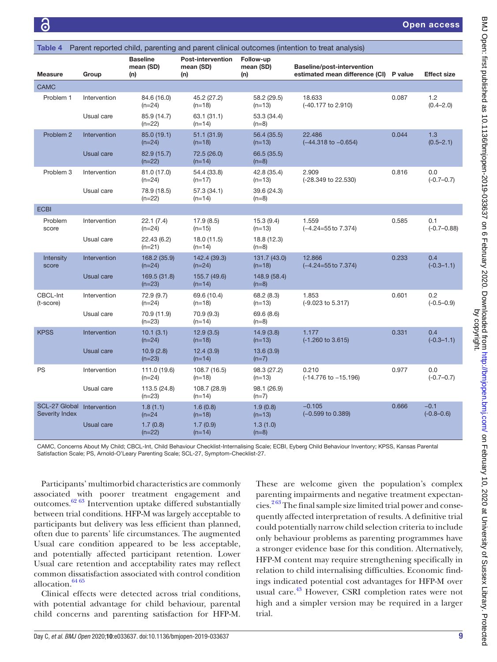<span id="page-9-0"></span>

| Parent reported child, parenting and parent clinical outcomes (intention to treat analysis)<br>Table 4 |              |                                     |                                       |                               |                                                                      |       |                          |
|--------------------------------------------------------------------------------------------------------|--------------|-------------------------------------|---------------------------------------|-------------------------------|----------------------------------------------------------------------|-------|--------------------------|
| <b>Measure</b>                                                                                         | Group        | <b>Baseline</b><br>mean (SD)<br>(n) | Post-intervention<br>mean (SD)<br>(n) | Follow-up<br>mean (SD)<br>(n) | Baseline/post-intervention<br>estimated mean difference (CI) P value |       | <b>Effect size</b>       |
| CAMC                                                                                                   |              |                                     |                                       |                               |                                                                      |       |                          |
| Problem 1                                                                                              | Intervention | 84.6 (16.0)<br>$(n=24)$             | 45.2 (27.2)<br>$(n=18)$               | 58.2 (29.5)<br>$(n=13)$       | 18.633<br>(-40.177 to 2.910)                                         | 0.087 | 1.2<br>$(0.4 - 2.0)$     |
|                                                                                                        | Usual care   | 85.9 (14.7)<br>$(n=22)$             | 63.1 (31.1)<br>$(n=14)$               | 53.3 (34.4)<br>$(n=8)$        |                                                                      |       |                          |
| Problem 2                                                                                              | Intervention | 85.0 (19.1)<br>$(n=24)$             | 51.1(31.9)<br>$(n=18)$                | 56.4 (35.5)<br>$(n=13)$       | 22.486<br>$(-44.318 \text{ to } -0.654)$                             | 0.044 | 1.3<br>$(0.5 - 2.1)$     |
|                                                                                                        | Usual care   | 82.9 (15.7)<br>$(n=22)$             | 72.5 (26.0)<br>$(n=14)$               | 66.5 (35.5)<br>$(n=8)$        |                                                                      |       |                          |
| Problem 3                                                                                              | Intervention | 81.0 (17.0)<br>$(n=24)$             | 54.4 (33.8)<br>$(n=17)$               | 42.8 (35.4)<br>$(n=13)$       | 2.909<br>(-28.349 to 22.530)                                         | 0.816 | 0.0<br>$(-0.7 - 0.7)$    |
|                                                                                                        | Usual care   | 78.9 (18.5)<br>$(n=22)$             | 57.3 (34.1)<br>$(n=14)$               | 39.6 (24.3)<br>$(n=8)$        |                                                                      |       |                          |
| <b>ECBI</b>                                                                                            |              |                                     |                                       |                               |                                                                      |       |                          |
| Problem<br>score                                                                                       | Intervention | 22.1(7.4)<br>$(n=24)$               | 17.9(8.5)<br>$(n=15)$                 | 15.3(9.4)<br>$(n=13)$         | 1.559<br>$(-4.24=55$ to $7.374)$                                     | 0.585 | 0.1<br>$(-0.7 - 0.88)$   |
|                                                                                                        | Usual care   | 22.43 (6.2)<br>$(n=21)$             | 18.0 (11.5)<br>$(n=14)$               | 18.8 (12.3)<br>$(n=8)$        |                                                                      |       |                          |
| Intensity<br>score                                                                                     | Intervention | 168.2 (35.9)<br>$(n=24)$            | 142.4 (39.3)<br>$(n=24)$              | 131.7 (43.0)<br>$(n=18)$      | 12.866<br>$(-4.24=55$ to $7.374)$                                    | 0.233 | 0.4<br>$(-0.3 - 1.1)$    |
|                                                                                                        | Usual care   | 169.5 (31.8)<br>$(n=23)$            | 155.7 (49.6)<br>$(n=14)$              | 148.9 (58.4)<br>$(n=8)$       |                                                                      |       |                          |
| CBCL-Int<br>(t-score)                                                                                  | Intervention | 72.9 (9.7)<br>$(n=24)$              | 69.6 (10.4)<br>$(n=18)$               | 68.2(8.3)<br>$(n=13)$         | 1.853<br>(-9.023 to 5.317)                                           | 0.601 | 0.2<br>$(-0.5 - 0.9)$    |
|                                                                                                        | Usual care   | 70.9 (11.9)<br>$(n=23)$             | 70.9 (9.3)<br>$(n=14)$                | 69.6 (8.6)<br>$(n=8)$         |                                                                      |       |                          |
| <b>KPSS</b>                                                                                            | Intervention | 10.1(3.1)<br>$(n=24)$               | 12.9(3.5)<br>$(n=18)$                 | 14.9(3.8)<br>$(n=13)$         | 1.177<br>$(-1.260 \text{ to } 3.615)$                                | 0.331 | 0.4<br>$(-0.3 - 1.1)$    |
|                                                                                                        | Usual care   | 10.9(2.8)<br>$(n=23)$               | 12.4(3.9)<br>$(n=14)$                 | 13.6(3.9)<br>$(n=7)$          |                                                                      |       |                          |
| PS                                                                                                     | Intervention | 111.0 (19.6)<br>$(n=24)$            | 108.7 (16.5)<br>$(n=18)$              | 98.3 (27.2)<br>$(n=13)$       | 0.210<br>(-14.776 to -15.196)                                        | 0.977 | 0.0<br>$(-0.7 - 0.7)$    |
|                                                                                                        | Usual care   | 113.5 (24.8)<br>$(n=23)$            | 108.7 (28.9)<br>$(n=14)$              | 98.1 (26.9)<br>$(n=7)$        |                                                                      |       |                          |
| SCL-27 Global<br><b>Severity Index</b>                                                                 | Intervention | 1.8(1.1)<br>$(n=24)$                | 1.6(0.8)<br>$(n=18)$                  | 1.9(0.8)<br>$(n=13)$          | $-0.105$<br>$(-0.599$ to $0.389)$                                    | 0.666 | $-0.1$<br>$(-0.8 - 0.6)$ |
|                                                                                                        | Usual care   | 1.7(0.8)<br>$(n=22)$                | 1.7(0.9)<br>$(n=14)$                  | 1.3(1.0)<br>$(n=8)$           |                                                                      |       |                          |

CAMC, Concerns About My Child; CBCL-Int, Child Behaviour Checklist-Internalising Scale; ECBI, Eyberg Child Behaviour Inventory; KPSS, Kansas Parental Satisfaction Scale; PS, Arnold-O'Leary Parenting Scale; SCL-27, Symptom-Checklist-27.

Participants' multimorbid characteristics are commonly associated with poorer treatment engagement and outcomes[.62 63](#page-12-20) Intervention uptake differed substantially between trial conditions. HFP-M was largely acceptable to participants but delivery was less efficient than planned, often due to parents' life circumstances. The augmented Usual care condition appeared to be less acceptable, and potentially affected participant retention. Lower Usual care retention and acceptability rates may reflect common dissatisfaction associated with control condition allocation. $64\,65$ 

Clinical effects were detected across trial conditions, with potential advantage for child behaviour, parental child concerns and parenting satisfaction for HFP-M.

These are welcome given the population's complex parenting impairments and negative treatment expectancies.<sup>263</sup> The final sample size limited trial power and consequently affected interpretation of results. A definitive trial could potentially narrow child selection criteria to include only behaviour problems as parenting programmes have a stronger evidence base for this condition. Alternatively, HFP-M content may require strengthening specifically in relation to child internalising difficulties. Economic findings indicated potential cost advantages for HFP-M over usual care.<sup>43</sup> However, CSRI completion rates were not high and a simpler version may be required in a larger trial.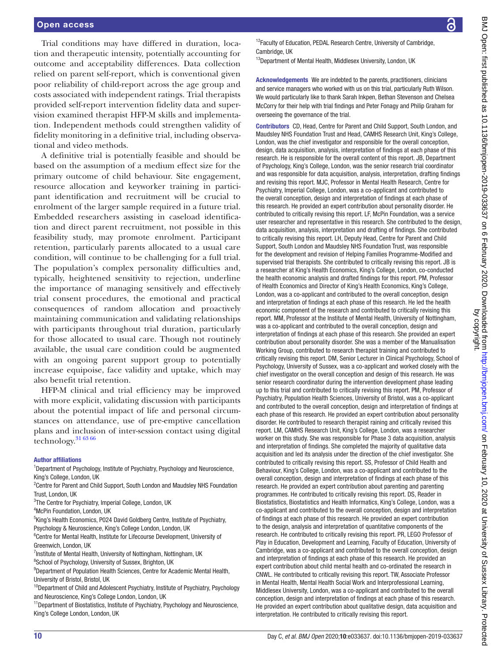Trial conditions may have differed in duration, location and therapeutic intensity, potentially accounting for outcome and acceptability differences. Data collection relied on parent self-report, which is conventional given poor reliability of child-report across the age group and costs associated with independent ratings. Trial therapists provided self-report intervention fidelity data and supervision examined therapist HFP-M skills and implementation. Independent methods could strengthen validity of fidelity monitoring in a definitive trial, including observational and video methods.

A definitive trial is potentially feasible and should be based on the assumption of a medium effect size for the primary outcome of child behaviour. Site engagement, resource allocation and keyworker training in participant identification and recruitment will be crucial to enrolment of the larger sample required in a future trial. Embedded researchers assisting in caseload identification and direct parent recruitment, not possible in this feasibility study, may promote enrolment. Participant retention, particularly parents allocated to a usual care condition, will continue to be challenging for a full trial. The population's complex personality difficulties and, typically, heightened sensitivity to rejection, underline the importance of managing sensitively and effectively trial consent procedures, the emotional and practical consequences of random allocation and proactively maintaining communication and validating relationships with participants throughout trial duration, particularly for those allocated to usual care. Though not routinely available, the usual care condition could be augmented with an ongoing parent support group to potentially increase equipoise, face validity and uptake, which may also benefit trial retention.

HFP-M clinical and trial efficiency may be improved with more explicit, validating discussion with participants about the potential impact of life and personal circumstances on attendance, use of pre-emptive cancellation plans and inclusion of inter-session contact using digital technology.<sup>[31 63 66](#page-11-19)</sup>

#### Author affiliations

<sup>1</sup>Department of Psychology, Institute of Psychiatry, Psychology and Neuroscience, King's College, London, UK

<sup>2</sup> Centre for Parent and Child Support, South London and Maudsley NHS Foundation Trust, London, UK

<sup>3</sup>The Centre for Psychiatry, Imperial College, London, UK

4 McPin Foundation, London, UK

<sup>5</sup>King's Health Economics, P024 David Goldberg Centre, Institute of Psychiatry, Psychology & Neuroscience, King's College London, London, UK

<sup>6</sup>Centre for Mental Health, Institute for Lifecourse Development, University of Greenwich, London, UK

<sup>7</sup>Institute of Mental Health, University of Nottingham, Nottingham, UK

<sup>8</sup>School of Psychology, University of Sussex, Brighton, UK

<sup>9</sup>Department of Population Health Sciences, Centre for Academic Mental Health, University of Bristol, Bristol, UK

<sup>10</sup>Department of Child and Adolescent Psychiatry, Institute of Psychiatry, Psychology and Neuroscience, King's College London, London, UK

<sup>11</sup>Department of Biostatistics, Institute of Psychiatry, Psychology and Neuroscience, King's College London, London, UK

<sup>12</sup>Faculty of Education, PEDAL Research Centre, University of Cambridge, Cambridge, UK

<sup>13</sup>Department of Mental Health, Middlesex University, London, UK

Acknowledgements We are indebted to the parents, practitioners, clinicians and service managers who worked with us on this trial, particularly Ruth Wilson. We would particularly like to thank Sarah Inkpen, Bethan Stevenson and Chelsea McCorry for their help with trial findings and Peter Fonagy and Philip Graham for overseeing the governance of the trial.

Contributors CD, Head, Centre for Parent and Child Support, South London, and Maudsley NHS Foundation Trust and Head, CAMHS Research Unit, King's College, London, was the chief investigator and responsible for the overall conception, design, data acquisition, analysis, interpretation of findings at each phase of this research. He is responsible for the overall content of this report. JB, Department of Psychology, King's College, London, was the senior research trial coordinator and was responsible for data acquisition, analysis, interpretation, drafting findings and revising this report. MJC, Professor in Mental Health Research, Centre for Psychiatry, Imperial College, London, was a co-applicant and contributed to the overall conception, design and interpretation of findings at each phase of this research. He provided an expert contribution about personality disorder. He contributed to critically revising this report. LF, McPin Foundation, was a service user researcher and representative in this research. She contributed to the design, data acquisition, analysis, interpretation and drafting of findings. She contributed to critically revising this report. LH, Deputy Head, Centre for Parent and Child Support, South London and Maudsley NHS Foundation Trust, was responsible for the development and revision of Helping Families Programme-Modified and supervised trial therapists. She contributed to critically revising this report. JB is a researcher at King's Health Economics, King's College, London, co-conducted the health economic analysis and drafted findings for this report. PM, Professor of Health Economics and Director of King's Health Economics, King's College, London, was a co-applicant and contributed to the overall conception, design and interpretation of findings at each phase of this research. He led the health economic component of the research and contributed to critically revising this report. MM, Professor at the Institute of Mental Health, University of Nottingham, was a co-applicant and contributed to the overall conception, design and interpretation of findings at each phase of this research. She provided an expert contribution about personality disorder. She was a member of the Manualisation Working Group, contributed to research therapist training and contributed to critically revising this report. DM, Senior Lecturer in Clinical Psychology, School of Psychology, University of Sussex, was a co-applicant and worked closely with the chief investigator on the overall conception and design of this research. He was senior research coordinator during the intervention development phase leading up to this trial and contributed to critically revising this report. PM, Professor of Psychiatry, Population Health Sciences, University of Bristol, was a co-applicant and contributed to the overall conception, design and interpretation of findings at each phase of this research. He provided an expert contribution about personality disorder. He contributed to research therapist raining and critically revised this report. LM, CAMHS Research Unit, King's College, London, was a researcher worker on this study. She was responsible for Phase 3 data acquisition, analysis and interpretation of findings. She completed the majority of qualitative data acquisition and led its analysis under the direction of the chief investigator. She contributed to critically revising this report. SS, Professor of Child Health and Behaviour, King's College, London, was a co-applicant and contributed to the overall conception, design and interpretation of findings at each phase of this research. He provided an expert contribution about parenting and parenting programmes. He contributed to critically revising this report. DS, Reader in Biostatistics, Biostatistics and Health Informatics, King's College, London, was a co-applicant and contributed to the overall conception, design and interpretation of findings at each phase of this research. He provided an expert contribution to the design, analysis and interpretation of quantitative components of the research. He contributed to critically revising this report. PR, LEGO Professor of Play in Education, Development and Learning, Faculty of Education, University of Cambridge, was a co-applicant and contributed to the overall conception, design and interpretation of findings at each phase of this research. He provided an expert contribution about child mental health and co-ordinated the research in CNWL. He contributed to critically revising this report. TW, Associate Professor in Mental Health, Mental Health Social Work and Interprofessional Learning, Middlesex University, London, was a co-applicant and contributed to the overall conception, design and interpretation of findings at each phase of this research. He provided an expert contribution about qualitative design, data acquisition and interpretation. He contributed to critically revising this report.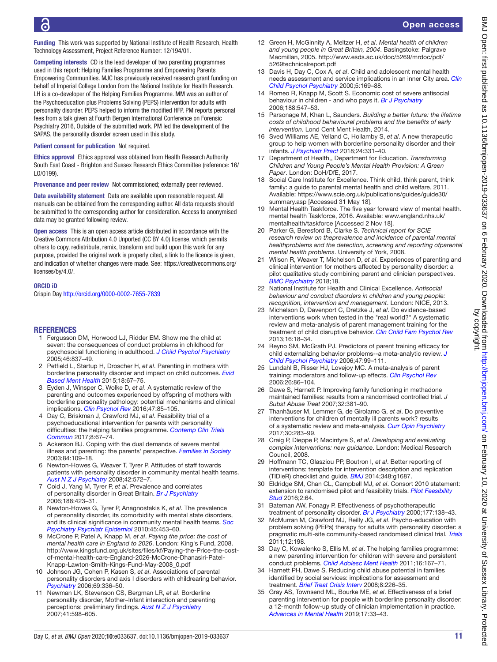Open access

Funding This work was supported by National Institute of Health Research, Health Technology Assessment, Project Reference Number: 12/194/01.

Competing interests CD is the lead developer of two parenting programmes used in this report: Helping Families Programme and Empowering Parents Empowering Communities. MJC has previously received research grant funding on behalf of Imperial College London from the National Institute for Health Research. LH is a co-developer of the Helping Families Programme. MM was an author of the Psychoeducation plus Problems Solving (PEPS) intervention for adults with personality disorder. PEPS helped to inform the modified HFP. PM reports personal fees from a talk given at Fourth Bergen International Conference on Forensic Psychiatry 2016, Outside of the submitted work. PM led the development of the SAPAS, the personality disorder screen used in this study.

Patient consent for publication Not required.

Ethics approval Ethics approval was obtained from Health Research Authority South East Coast - Brighton and Sussex Research Ethics Committee (reference: 16/ LO/0199).

Provenance and peer review Not commissioned; externally peer reviewed.

Data availability statement Data are available upon reasonable request. All manuals can be obtained from the corresponding author. All data requests should be submitted to the corresponding author for consideration. Access to anonymised data may be granted following review.

Open access This is an open access article distributed in accordance with the Creative Commons Attribution 4.0 Unported (CC BY 4.0) license, which permits others to copy, redistribute, remix, transform and build upon this work for any purpose, provided the original work is properly cited, a link to the licence is given, and indication of whether changes were made. See: [https://creativecommons.org/](https://creativecommons.org/licenses/by/4.0/) [licenses/by/4.0/.](https://creativecommons.org/licenses/by/4.0/)

#### ORCID iD

Crispin Day<http://orcid.org/0000-0002-7655-7839>

#### **REFERENCES**

- <span id="page-11-0"></span>1 Fergusson DM, Horwood LJ, Ridder EM. Show me the child at seven: the consequences of conduct problems in childhood for psychosocial functioning in adulthood. *[J Child Psychol Psychiatry](http://dx.doi.org/10.1111/j.1469-7610.2004.00387.x)* 2005;46:837–49.
- <span id="page-11-1"></span>2 Petfield L, Startup H, Droscher H, *et al*. Parenting in mothers with borderline personality disorder and impact on child outcomes. *[Evid](http://dx.doi.org/10.1136/eb-2015-102163)  [Based Ment Health](http://dx.doi.org/10.1136/eb-2015-102163)* 2015;18:67–75.
- 3 Eyden J, Winsper C, Wolke D, *et al*. A systematic review of the parenting and outcomes experienced by offspring of mothers with borderline personality pathology: potential mechanisms and clinical implications. *[Clin Psychol Rev](http://dx.doi.org/10.1016/j.cpr.2016.04.002)* 2016;47:85–105.
- <span id="page-11-15"></span>4 Day C, Briskman J, Crawford MJ, *et al*. Feasibility trial of a psychoeducational intervention for parents with personality difficulties: the helping families programme. *[Contemp Clin Trials](http://dx.doi.org/10.1016/j.conctc.2017.08.002)  [Commun](http://dx.doi.org/10.1016/j.conctc.2017.08.002)* 2017;8:67–74.
- <span id="page-11-2"></span>5 Ackerson BJ. Coping with the dual demands of severe mental illness and parenting: the parents' perspective. *[Families in Society](http://dx.doi.org/10.1606/1044-3894.69)* 2003;84:109–18.
- 6 Newton-Howes G, Weaver T, Tyrer P. Attitudes of staff towards patients with personality disorder in community mental health teams. *[Aust N Z J Psychiatry](http://dx.doi.org/10.1080/00048670802119739)* 2008;42:572–7.
- <span id="page-11-3"></span>7 Coid J, Yang M, Tyrer P, *et al*. Prevalence and correlates of personality disorder in Great Britain. *[Br J Psychiatry](http://dx.doi.org/10.1192/bjp.188.5.423)* 2006;188:423–31.
- 8 Newton-Howes G, Tyrer P, Anagnostakis K, *et al*. The prevalence of personality disorder, its comorbidity with mental state disorders, and its clinical significance in community mental health teams. *[Soc](http://dx.doi.org/10.1007/s00127-009-0084-7)  [Psychiatry Psychiatr Epidemiol](http://dx.doi.org/10.1007/s00127-009-0084-7)* 2010;45:453–60.
- <span id="page-11-4"></span>9 McCrone P, Patel A, Knapp M, *et al*. *Paying the price: the cost of mental health care in England to 2026*. London: King's Fund, 2008. [http://www.kingsfund.org.uk/sites/files/kf/Paying-the-Price-the-cost](http://www.kingsfund.org.uk/sites/files/kf/Paying-the-Price-the-cost-of-mental-health-care-England-2026-McCrone-Dhanasiri-Patel-Knapp-Lawton-Smith-Kings-Fund-May-2008_0.pdf)[of-mental-health-care-England-2026-McCrone-Dhanasiri-Patel-](http://www.kingsfund.org.uk/sites/files/kf/Paying-the-Price-the-cost-of-mental-health-care-England-2026-McCrone-Dhanasiri-Patel-Knapp-Lawton-Smith-Kings-Fund-May-2008_0.pdf)[Knapp-Lawton-Smith-Kings-Fund-May-2008\\_0.pdf](http://www.kingsfund.org.uk/sites/files/kf/Paying-the-Price-the-cost-of-mental-health-care-England-2026-McCrone-Dhanasiri-Patel-Knapp-Lawton-Smith-Kings-Fund-May-2008_0.pdf)
- <span id="page-11-5"></span>10 Johnson JG, Cohen P, Kasen S, *et al*. Associations of parental personality disorders and axis I disorders with childrearing behavior. *[Psychiatry](http://dx.doi.org/10.1521/psyc.2006.69.4.336)* 2006;69:336–50.
- 11 Newman LK, Stevenson CS, Bergman LR, *et al*. Borderline personality disorder, Mother–Infant interaction and parenting perceptions: preliminary findings. *[Aust N Z J Psychiatry](http://dx.doi.org/10.1080/00048670701392833)* 2007;41:598–605.
- <span id="page-11-6"></span>12 Green H, McGinnity A, Meltzer H, *et al*. *Mental health of children and young people in Great Britain, 2004*. Basingstoke: Palgrave Macmillan, 2005. [http://www.esds.ac.uk/doc/5269/mrdoc/pdf/](http://www.esds.ac.uk/doc/5269/mrdoc/pdf/5269technicalreport.pdf) [5269technicalreport.pdf](http://www.esds.ac.uk/doc/5269/mrdoc/pdf/5269technicalreport.pdf)
- 13 Davis H, Day C, Cox A, *et al*. Child and adolescent mental health needs assessment and service implications in an inner City area. *[Clin](http://dx.doi.org/10.1177/1359104500005002003)  [Child Psychol Psychiatry](http://dx.doi.org/10.1177/1359104500005002003)* 2000;5:169–88.
- <span id="page-11-7"></span>14 Romeo R, Knapp M, Scott S. Economic cost of severe antisocial behaviour in children - and who pays it. *[Br J Psychiatry](http://dx.doi.org/10.1192/bjp.bp.104.007625)* 2006;188:547–53.
- 15 Parsonage M, Khan L, Saunders. *Building a better future: the lifetime costs of childhood behavioural problems and the benefits of early intervention*. Lond Cent Ment Health, 2014.
- <span id="page-11-8"></span>16 Sved Williams AE, Yelland C, Hollamby S, *et al*. A new therapeutic group to help women with borderline personality disorder and their infants. *[J Psychiatr Pract](http://dx.doi.org/10.1097/PRA.0000000000000330)* 2018;24:331–40.
- <span id="page-11-9"></span>17 Department of Health,, Department for Education. *Transforming Children and Young People's Mental Health Provision: A Green Paper*. London: DoH/DfE, 2017.
- 18 Social Care Institute for Excellence. Think child, think parent, think family: a guide to parental mental health and child welfare, 2011. Available: [https://www.scie.org.uk/publications/guides/guide30/](https://www.scie.org.uk/publications/guides/guide30/summary.asp) [summary.asp](https://www.scie.org.uk/publications/guides/guide30/summary.asp) [Accessed 31 May 18].
- 19 Mental Health Taskforce. The five year forward view of mental health. mental health Taskforce, 2016. Available: [www.england.nhs.uk/](www.england.nhs.uk/mentalhealth/taskforce) [mentalhealth/taskforce](www.england.nhs.uk/mentalhealth/taskforce) [Accessed 2 Nov 18].
- <span id="page-11-10"></span>20 Parker G, Beresford B, Clarke S. *Technical report for SCIE research review on theprevalence and incidence of parental mental healthproblems and the detection, screening and reporting ofparental mental health problems*. University of York, 2008.
- <span id="page-11-11"></span>21 Wilson R, Weaver T, Michelson D, *et al*. Experiences of parenting and clinical intervention for mothers affected by personality disorder: a pilot qualitative study combining parent and clinician perspectives. *[BMC Psychiatry](http://dx.doi.org/10.1186/s12888-018-1733-8)* 2018;18.
- <span id="page-11-12"></span>22 National Institute for Health and Clinical Excellence. *Antisocial behaviour and conduct disorders in children and young people: recognition, intervention and management*. London: NICE, 2013.
- 23 Michelson D, Davenport C, Dretzke J, *et al*. Do evidence-based interventions work when tested in the "real world?" A systematic review and meta-analysis of parent management training for the treatment of child disruptive behavior. *[Clin Child Fam Psychol Rev](http://dx.doi.org/10.1007/s10567-013-0128-0)* 2013;16:18–34.
- <span id="page-11-13"></span>24 Reyno SM, McGrath PJ. Predictors of parent training efficacy for child externalizing behavior problems--a meta-analytic review. *[J](http://dx.doi.org/10.1111/j.1469-7610.2005.01544.x)  [Child Psychol Psychiatry](http://dx.doi.org/10.1111/j.1469-7610.2005.01544.x)* 2006;47:99–111.
- 25 Lundahl B, Risser HJ, Lovejoy MC. A meta-analysis of parent training: moderators and follow-up effects. *[Clin Psychol Rev](http://dx.doi.org/10.1016/j.cpr.2005.07.004)* 2006;26:86–104.
- <span id="page-11-14"></span>26 Dawe S, Harnett P. Improving family functioning in methadone maintained families: results from a randomised controlled trial. *J Subst Abuse Treat* 2007;32:381–90.
- 27 Thanhäuser M, Lemmer G, de Girolamo G, *et al*. Do preventive interventions for children of mentally ill parents work? results of a systematic review and meta-analysis. *[Curr Opin Psychiatry](http://dx.doi.org/10.1097/YCO.0000000000000342)* 2017;30:283–99.
- <span id="page-11-18"></span>28 Craig P, Dieppe P, Macintyre S, *et al*. *Developing and evaluating complex interventions: new guidance*. London: Medical Research Council, 2008.
- 29 Hoffmann TC, Glasziou PP, Boutron I, *et al*. Better reporting of interventions: template for intervention description and replication (TIDieR) checklist and guide. *[BMJ](http://dx.doi.org/10.1136/bmj.g1687)* 2014;348:g1687.
- <span id="page-11-17"></span>30 Eldridge SM, Chan CL, Campbell MJ, *et al*. Consort 2010 statement: extension to randomised pilot and feasibility trials. *[Pilot Feasibility](http://dx.doi.org/10.1186/s40814-016-0105-8)  [Stud](http://dx.doi.org/10.1186/s40814-016-0105-8)* 2016;2:64.
- <span id="page-11-19"></span>31 Bateman AW, Fonagy P. Effectiveness of psychotherapeutic treatment of personality disorder. *[Br J Psychiatry](http://dx.doi.org/10.1192/bjp.177.2.138)* 2000;177:138–43.
- 32 McMurran M, Crawford MJ, Reilly JG, *et al*. Psycho-education with problem solving (PEPs) therapy for adults with personality disorder: a pragmatic multi-site community-based randomised clinical trial. *[Trials](http://dx.doi.org/10.1186/1745-6215-12-198)* 2011;12:198.
- 33 Day C, Kowalenko S, Ellis M, *et al*. The helping families programme: a new parenting intervention for children with severe and persistent conduct problems. *[Child Adolesc Ment Health](http://dx.doi.org/10.1111/j.1475-3588.2010.00588.x)* 2011;16:167–71.
- <span id="page-11-16"></span>34 Harnett PH, Dawe S. Reducing child abuse potential in families identified by social services: implications for assessment and treatment. *[Brief Treat Crisis Interv](http://dx.doi.org/10.1093/brief-treatment/mhn010)* 2008;8:226–35.
- 35 Gray AS, Townsend ML, Bourke ME, *et al*. Effectiveness of a brief parenting intervention for people with borderline personality disorder: a 12-month follow-up study of clinician implementation in practice. *[Advances in Mental Health](http://dx.doi.org/10.1080/18387357.2018.1464887)* 2019;17:33–43.